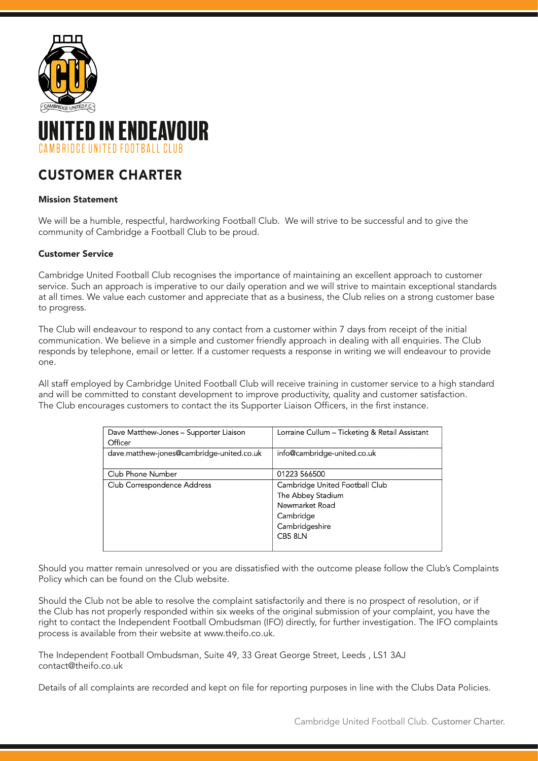



# CUSTOMER CHARTER

# Mission Statement

We will be a humble, respectful, hardworking Football Club. We will strive to be successful and to give the community of Cambridge a Football Club to be proud.

# Customer Service

Cambridge United Football Club recognises the importance of maintaining an excellent approach to customer service. Such an approach is imperative to our daily operation and we will strive to maintain exceptional standards at all times. We value each customer and appreciate that as a business, the Club relies on a strong customer base to progress.

The Club will endeavour to respond to any contact from a customer within 7 days from receipt of the initial communication. We believe in a simple and customer friendly approach in dealing with all enquiries. The Club responds by telephone, email or letter. If a customer requests a response in writing we will endeavour to provide one.

All staff employed by Cambridge United Football Club will receive training in customer service to a high standard and will be committed to constant development to improve productivity, quality and customer satisfaction. The Club encourages customers to contact the its Supporter Liaison Officers, in the first instance.

| Dave Matthew-Jones – Supporter Liaison    | Lorraine Cullum - Ticketing & Retail Assistant |
|-------------------------------------------|------------------------------------------------|
| Officer                                   |                                                |
| dave.matthew-jones@cambridge-united.co.uk | info@cambridge-united.co.uk                    |
|                                           |                                                |
| Club Phone Number                         | 01223 566500                                   |
| Club Correspondence Address               | Cambridge United Football Club                 |
|                                           | The Abbey Stadium                              |
|                                           | Newmarket Road                                 |
|                                           | Cambridge                                      |
|                                           | Cambridgeshire                                 |
|                                           | CB5 8LN                                        |
|                                           |                                                |

Should you matter remain unresolved or you are dissatisfied with the outcome please follow the Club's Complaints Policy which can be found on the Club website.

Should the Club not be able to resolve the complaint satisfactorily and there is no prospect of resolution, or if the Club has not properly responded within six weeks of the original submission of your complaint, you have the right to contact the Independent Football Ombudsman (IFO) directly, for further investigation. The IFO complaints process is available from their website at www.theifo.co.uk.

The Independent Football Ombudsman, Suite 49, 33 Great George Street, Leeds , LS1 3AJ contact@theifo.co.uk

Details of all complaints are recorded and kept on file for reporting purposes in line with the Clubs Data Policies.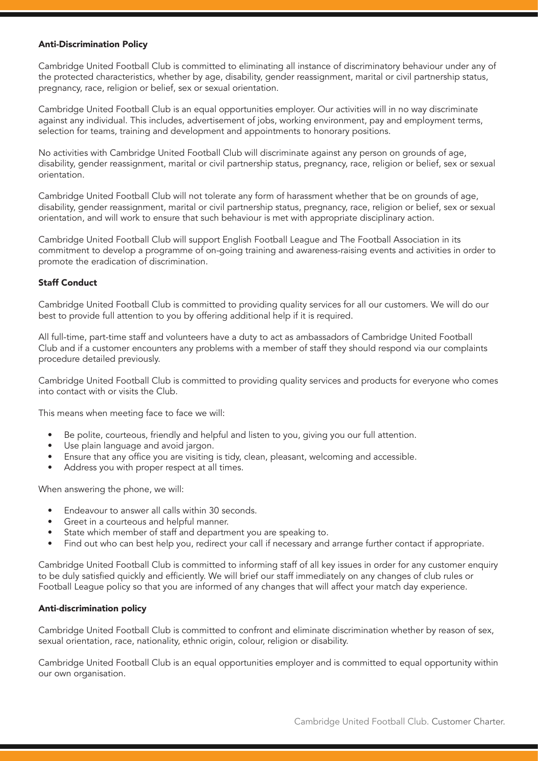# Anti-Discrimination Policy

Cambridge United Football Club is committed to eliminating all instance of discriminatory behaviour under any of the protected characteristics, whether by age, disability, gender reassignment, marital or civil partnership status, pregnancy, race, religion or belief, sex or sexual orientation.

Cambridge United Football Club is an equal opportunities employer. Our activities will in no way discriminate against any individual. This includes, advertisement of jobs, working environment, pay and employment terms, selection for teams, training and development and appointments to honorary positions.

No activities with Cambridge United Football Club will discriminate against any person on grounds of age, disability, gender reassignment, marital or civil partnership status, pregnancy, race, religion or belief, sex or sexual orientation.

Cambridge United Football Club will not tolerate any form of harassment whether that be on grounds of age, disability, gender reassignment, marital or civil partnership status, pregnancy, race, religion or belief, sex or sexual orientation, and will work to ensure that such behaviour is met with appropriate disciplinary action.

Cambridge United Football Club will support English Football League and The Football Association in its commitment to develop a programme of on-going training and awareness-raising events and activities in order to promote the eradication of discrimination.

### Staff Conduct

Cambridge United Football Club is committed to providing quality services for all our customers. We will do our best to provide full attention to you by offering additional help if it is required.

All full-time, part-time staff and volunteers have a duty to act as ambassadors of Cambridge United Football Club and if a customer encounters any problems with a member of staff they should respond via our complaints procedure detailed previously.

Cambridge United Football Club is committed to providing quality services and products for everyone who comes into contact with or visits the Club.

This means when meeting face to face we will:

- Be polite, courteous, friendly and helpful and listen to you, giving you our full attention.
- Use plain language and avoid jargon.
- Ensure that any office you are visiting is tidy, clean, pleasant, welcoming and accessible.
- Address you with proper respect at all times.

When answering the phone, we will:

- Endeavour to answer all calls within 30 seconds.
- Greet in a courteous and helpful manner.
- State which member of staff and department you are speaking to.
- Find out who can best help you, redirect your call if necessary and arrange further contact if appropriate.

Cambridge United Football Club is committed to informing staff of all key issues in order for any customer enquiry to be duly satisfied quickly and efficiently. We will brief our staff immediately on any changes of club rules or Football League policy so that you are informed of any changes that will affect your match day experience.

#### Anti-discrimination policy

Cambridge United Football Club is committed to confront and eliminate discrimination whether by reason of sex, sexual orientation, race, nationality, ethnic origin, colour, religion or disability.

Cambridge United Football Club is an equal opportunities employer and is committed to equal opportunity within our own organisation.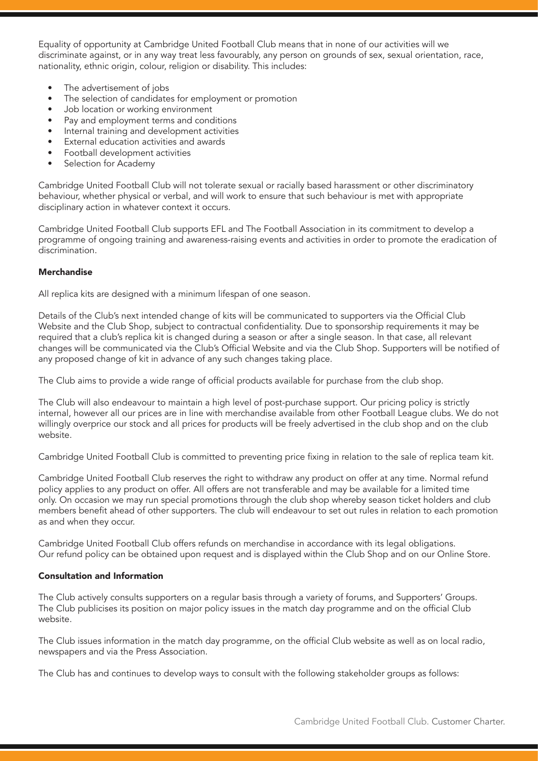Equality of opportunity at Cambridge United Football Club means that in none of our activities will we discriminate against, or in any way treat less favourably, any person on grounds of sex, sexual orientation, race, nationality, ethnic origin, colour, religion or disability. This includes:

- The advertisement of jobs
- The selection of candidates for employment or promotion
- Job location or working environment
- Pay and employment terms and conditions
- Internal training and development activities
- External education activities and awards
- Football development activities
- Selection for Academy

Cambridge United Football Club will not tolerate sexual or racially based harassment or other discriminatory behaviour, whether physical or verbal, and will work to ensure that such behaviour is met with appropriate disciplinary action in whatever context it occurs.

Cambridge United Football Club supports EFL and The Football Association in its commitment to develop a programme of ongoing training and awareness-raising events and activities in order to promote the eradication of discrimination.

# Merchandise

All replica kits are designed with a minimum lifespan of one season.

Details of the Club's next intended change of kits will be communicated to supporters via the Official Club Website and the Club Shop, subject to contractual confidentiality. Due to sponsorship requirements it may be required that a club's replica kit is changed during a season or after a single season. In that case, all relevant changes will be communicated via the Club's Official Website and via the Club Shop. Supporters will be notified of any proposed change of kit in advance of any such changes taking place.

The Club aims to provide a wide range of official products available for purchase from the club shop.

The Club will also endeavour to maintain a high level of post-purchase support. Our pricing policy is strictly internal, however all our prices are in line with merchandise available from other Football League clubs. We do not willingly overprice our stock and all prices for products will be freely advertised in the club shop and on the club website.

Cambridge United Football Club is committed to preventing price fixing in relation to the sale of replica team kit.

Cambridge United Football Club reserves the right to withdraw any product on offer at any time. Normal refund policy applies to any product on offer. All offers are not transferable and may be available for a limited time only. On occasion we may run special promotions through the club shop whereby season ticket holders and club members benefit ahead of other supporters. The club will endeavour to set out rules in relation to each promotion as and when they occur.

Cambridge United Football Club offers refunds on merchandise in accordance with its legal obligations. Our refund policy can be obtained upon request and is displayed within the Club Shop and on our Online Store.

# Consultation and Information

The Club actively consults supporters on a regular basis through a variety of forums, and Supporters' Groups. The Club publicises its position on major policy issues in the match day programme and on the official Club website.

The Club issues information in the match day programme, on the official Club website as well as on local radio, newspapers and via the Press Association.

The Club has and continues to develop ways to consult with the following stakeholder groups as follows: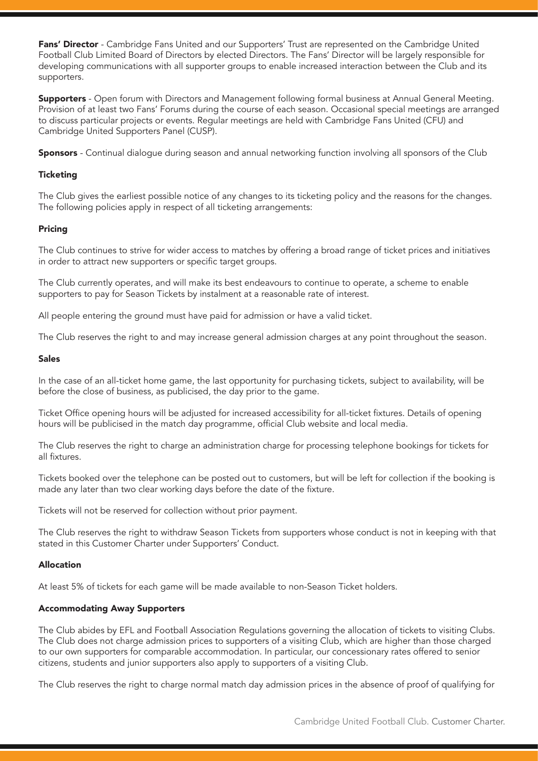Fans' Director - Cambridge Fans United and our Supporters' Trust are represented on the Cambridge United Football Club Limited Board of Directors by elected Directors. The Fans' Director will be largely responsible for developing communications with all supporter groups to enable increased interaction between the Club and its supporters.

**Supporters** - Open forum with Directors and Management following formal business at Annual General Meeting. Provision of at least two Fans' Forums during the course of each season. Occasional special meetings are arranged to discuss particular projects or events. Regular meetings are held with Cambridge Fans United (CFU) and Cambridge United Supporters Panel (CUSP).

Sponsors - Continual dialogue during season and annual networking function involving all sponsors of the Club

# **Ticketing**

The Club gives the earliest possible notice of any changes to its ticketing policy and the reasons for the changes. The following policies apply in respect of all ticketing arrangements:

# Pricing

The Club continues to strive for wider access to matches by offering a broad range of ticket prices and initiatives in order to attract new supporters or specific target groups.

The Club currently operates, and will make its best endeavours to continue to operate, a scheme to enable supporters to pay for Season Tickets by instalment at a reasonable rate of interest.

All people entering the ground must have paid for admission or have a valid ticket.

The Club reserves the right to and may increase general admission charges at any point throughout the season.

### Sales

In the case of an all-ticket home game, the last opportunity for purchasing tickets, subject to availability, will be before the close of business, as publicised, the day prior to the game.

Ticket Office opening hours will be adjusted for increased accessibility for all-ticket fixtures. Details of opening hours will be publicised in the match day programme, official Club website and local media.

The Club reserves the right to charge an administration charge for processing telephone bookings for tickets for all fixtures.

Tickets booked over the telephone can be posted out to customers, but will be left for collection if the booking is made any later than two clear working days before the date of the fixture.

Tickets will not be reserved for collection without prior payment.

The Club reserves the right to withdraw Season Tickets from supporters whose conduct is not in keeping with that stated in this Customer Charter under Supporters' Conduct.

# Allocation

At least 5% of tickets for each game will be made available to non-Season Ticket holders.

# Accommodating Away Supporters

The Club abides by EFL and Football Association Regulations governing the allocation of tickets to visiting Clubs. The Club does not charge admission prices to supporters of a visiting Club, which are higher than those charged to our own supporters for comparable accommodation. In particular, our concessionary rates offered to senior citizens, students and junior supporters also apply to supporters of a visiting Club.

The Club reserves the right to charge normal match day admission prices in the absence of proof of qualifying for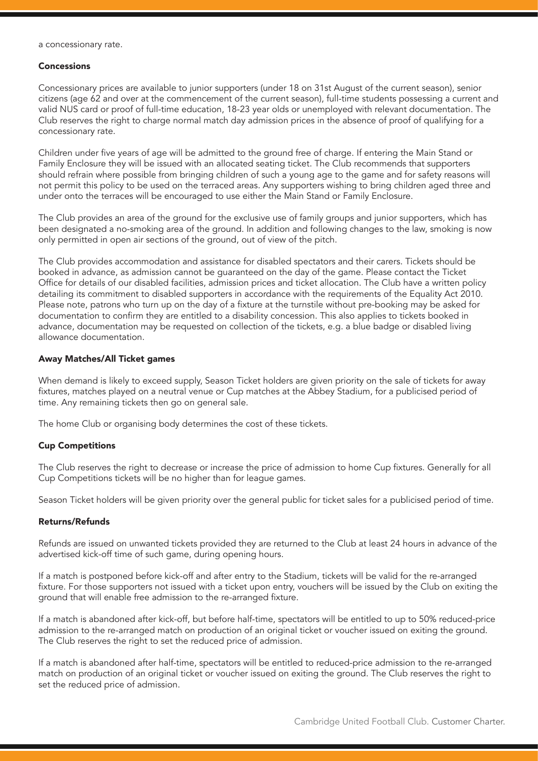a concessionary rate.

#### Concessions

Concessionary prices are available to junior supporters (under 18 on 31st August of the current season), senior citizens (age 62 and over at the commencement of the current season), full-time students possessing a current and valid NUS card or proof of full-time education, 18-23 year olds or unemployed with relevant documentation. The Club reserves the right to charge normal match day admission prices in the absence of proof of qualifying for a concessionary rate.

Children under five years of age will be admitted to the ground free of charge. If entering the Main Stand or Family Enclosure they will be issued with an allocated seating ticket. The Club recommends that supporters should refrain where possible from bringing children of such a young age to the game and for safety reasons will not permit this policy to be used on the terraced areas. Any supporters wishing to bring children aged three and under onto the terraces will be encouraged to use either the Main Stand or Family Enclosure.

The Club provides an area of the ground for the exclusive use of family groups and junior supporters, which has been designated a no-smoking area of the ground. In addition and following changes to the law, smoking is now only permitted in open air sections of the ground, out of view of the pitch.

The Club provides accommodation and assistance for disabled spectators and their carers. Tickets should be booked in advance, as admission cannot be guaranteed on the day of the game. Please contact the Ticket Office for details of our disabled facilities, admission prices and ticket allocation. The Club have a written policy detailing its commitment to disabled supporters in accordance with the requirements of the Equality Act 2010. Please note, patrons who turn up on the day of a fixture at the turnstile without pre-booking may be asked for documentation to confirm they are entitled to a disability concession. This also applies to tickets booked in advance, documentation may be requested on collection of the tickets, e.g. a blue badge or disabled living allowance documentation.

### Away Matches/All Ticket games

When demand is likely to exceed supply, Season Ticket holders are given priority on the sale of tickets for away fixtures, matches played on a neutral venue or Cup matches at the Abbey Stadium, for a publicised period of time. Any remaining tickets then go on general sale.

The home Club or organising body determines the cost of these tickets.

# Cup Competitions

The Club reserves the right to decrease or increase the price of admission to home Cup fixtures. Generally for all Cup Competitions tickets will be no higher than for league games.

Season Ticket holders will be given priority over the general public for ticket sales for a publicised period of time.

#### Returns/Refunds

Refunds are issued on unwanted tickets provided they are returned to the Club at least 24 hours in advance of the advertised kick-off time of such game, during opening hours.

If a match is postponed before kick-off and after entry to the Stadium, tickets will be valid for the re-arranged fixture. For those supporters not issued with a ticket upon entry, vouchers will be issued by the Club on exiting the ground that will enable free admission to the re-arranged fixture.

If a match is abandoned after kick-off, but before half-time, spectators will be entitled to up to 50% reduced-price admission to the re-arranged match on production of an original ticket or voucher issued on exiting the ground. The Club reserves the right to set the reduced price of admission.

If a match is abandoned after half-time, spectators will be entitled to reduced-price admission to the re-arranged match on production of an original ticket or voucher issued on exiting the ground. The Club reserves the right to set the reduced price of admission.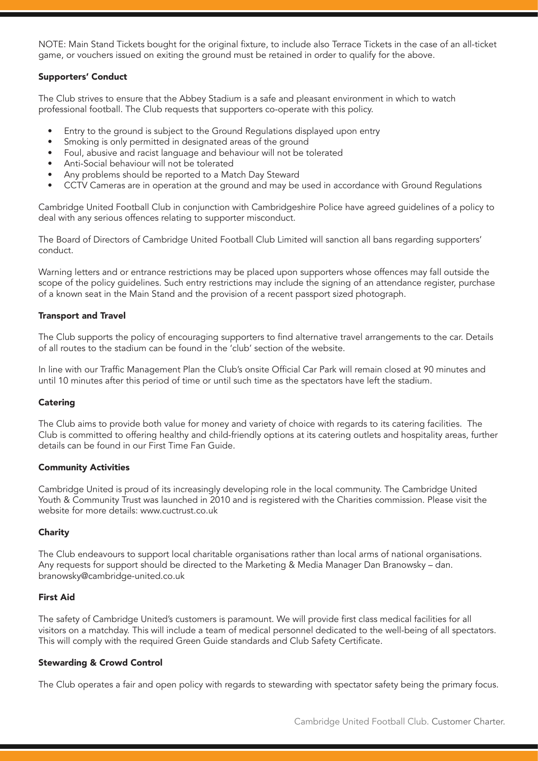NOTE: Main Stand Tickets bought for the original fixture, to include also Terrace Tickets in the case of an all-ticket game, or vouchers issued on exiting the ground must be retained in order to qualify for the above.

# Supporters' Conduct

The Club strives to ensure that the Abbey Stadium is a safe and pleasant environment in which to watch professional football. The Club requests that supporters co-operate with this policy.

- Entry to the ground is subject to the Ground Regulations displayed upon entry
- Smoking is only permitted in designated areas of the ground
- Foul, abusive and racist language and behaviour will not be tolerated
- Anti-Social behaviour will not be tolerated
- Any problems should be reported to a Match Day Steward
- CCTV Cameras are in operation at the ground and may be used in accordance with Ground Regulations

Cambridge United Football Club in conjunction with Cambridgeshire Police have agreed guidelines of a policy to deal with any serious offences relating to supporter misconduct.

The Board of Directors of Cambridge United Football Club Limited will sanction all bans regarding supporters' conduct.

Warning letters and or entrance restrictions may be placed upon supporters whose offences may fall outside the scope of the policy guidelines. Such entry restrictions may include the signing of an attendance register, purchase of a known seat in the Main Stand and the provision of a recent passport sized photograph.

### Transport and Travel

The Club supports the policy of encouraging supporters to find alternative travel arrangements to the car. Details of all routes to the stadium can be found in the 'club' section of the website.

In line with our Traffic Management Plan the Club's onsite Official Car Park will remain closed at 90 minutes and until 10 minutes after this period of time or until such time as the spectators have left the stadium.

#### **Catering**

The Club aims to provide both value for money and variety of choice with regards to its catering facilities. The Club is committed to offering healthy and child-friendly options at its catering outlets and hospitality areas, further details can be found in our First Time Fan Guide.

#### Community Activities

Cambridge United is proud of its increasingly developing role in the local community. The Cambridge United Youth & Community Trust was launched in 2010 and is registered with the Charities commission. Please visit the website for more details: www.cuctrust.co.uk

# **Charity**

The Club endeavours to support local charitable organisations rather than local arms of national organisations. Any requests for support should be directed to the Marketing & Media Manager Dan Branowsky – dan. branowsky@cambridge-united.co.uk

#### First Aid

The safety of Cambridge United's customers is paramount. We will provide first class medical facilities for all visitors on a matchday. This will include a team of medical personnel dedicated to the well-being of all spectators. This will comply with the required Green Guide standards and Club Safety Certificate.

# Stewarding & Crowd Control

The Club operates a fair and open policy with regards to stewarding with spectator safety being the primary focus.